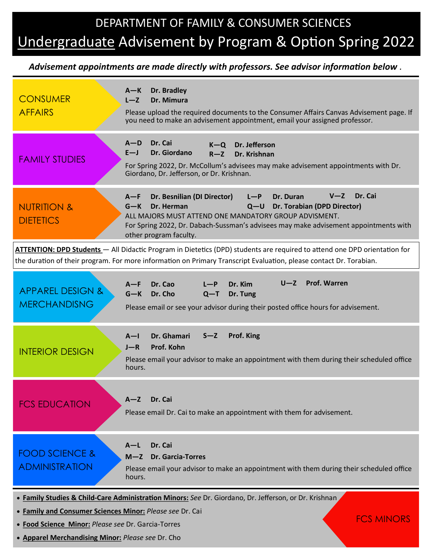## DEPARTMENT OF FAMILY & CONSUMER SCIENCES Undergraduate Advisement by Program & Option Spring 2022

## *Advisement appointments are made directly with professors. See advisor information below .*

| <b>CONSUMER</b><br><b>AFFAIRS</b>                                                                                                                                                                                                                                                                 | Dr. Bradley<br>$A - K$<br>Dr. Mimura<br>$L - Z$<br>Please upload the required documents to the Consumer Affairs Canvas Advisement page. If<br>you need to make an advisement appointment, email your assigned professor.                                                                                                     |
|---------------------------------------------------------------------------------------------------------------------------------------------------------------------------------------------------------------------------------------------------------------------------------------------------|------------------------------------------------------------------------------------------------------------------------------------------------------------------------------------------------------------------------------------------------------------------------------------------------------------------------------|
| <b>FAMILY STUDIES</b>                                                                                                                                                                                                                                                                             | Dr. Cai<br>$A-D$<br>K-Q Dr. Jefferson<br>Dr. Giordano<br>$E - J$<br>Dr. Krishnan<br>$R - Z$<br>For Spring 2022, Dr. McCollum's advisees may make advisement appointments with Dr.<br>Giordano, Dr. Jefferson, or Dr. Krishnan.                                                                                               |
| <b>NUTRITION &amp;</b><br><b>DIETETICS</b>                                                                                                                                                                                                                                                        | Dr. Cai<br>$V - Z$<br>Dr. Besnilian (DI Director)<br>Dr. Duran<br>$A-F$<br>$L-P$<br>Dr. Herman<br>$Q-U$<br>Dr. Torabian (DPD Director)<br>$G - K$<br>ALL MAJORS MUST ATTEND ONE MANDATORY GROUP ADVISMENT.<br>For Spring 2022, Dr. Dabach-Sussman's advisees may make advisement appointments with<br>other program faculty. |
| ATTENTION: DPD Students - All Didactic Program in Dietetics (DPD) students are required to attend one DPD orientation for<br>the duration of their program. For more information on Primary Transcript Evaluation, please contact Dr. Torabian.                                                   |                                                                                                                                                                                                                                                                                                                              |
| <b>APPAREL DESIGN &amp;</b><br><b>MERCHANDISNG</b>                                                                                                                                                                                                                                                | <b>Prof. Warren</b><br>$U - Z$<br>Dr. Cao<br>Dr. Kim<br>$A - F$<br>$L-P$<br>Dr. Cho<br>$G-K$<br>Dr. Tung<br>$Q-T$<br>Please email or see your advisor during their posted office hours for advisement.                                                                                                                       |
| <b>INTERIOR DESIGN</b>                                                                                                                                                                                                                                                                            | Dr. Ghamari<br>Prof. King<br>$S - Z$<br>$A - I$<br>Prof. Kohn<br>$J-R$<br>Please email your advisor to make an appointment with them during their scheduled office<br>hours.                                                                                                                                                 |
| <b>FCS EDUCATION</b>                                                                                                                                                                                                                                                                              | Dr. Cai<br>$A - Z$<br>Please email Dr. Cai to make an appointment with them for advisement.                                                                                                                                                                                                                                  |
| <b>FOOD SCIENCE &amp;</b><br><b>ADMINISTRATION</b>                                                                                                                                                                                                                                                | Dr. Cai<br>$A-L$<br><b>Dr. Garcia-Torres</b><br>$M - Z$<br>Please email your advisor to make an appointment with them during their scheduled office<br>hours.                                                                                                                                                                |
| · Family Studies & Child-Care Administration Minors: See Dr. Giordano, Dr. Jefferson, or Dr. Krishnan<br>• Family and Consumer Sciences Minor: Please see Dr. Cai<br><b>FCS MINORS</b><br>· Food Science Minor: Please see Dr. Garcia-Torres<br>• Apparel Merchandising Minor: Please see Dr. Cho |                                                                                                                                                                                                                                                                                                                              |